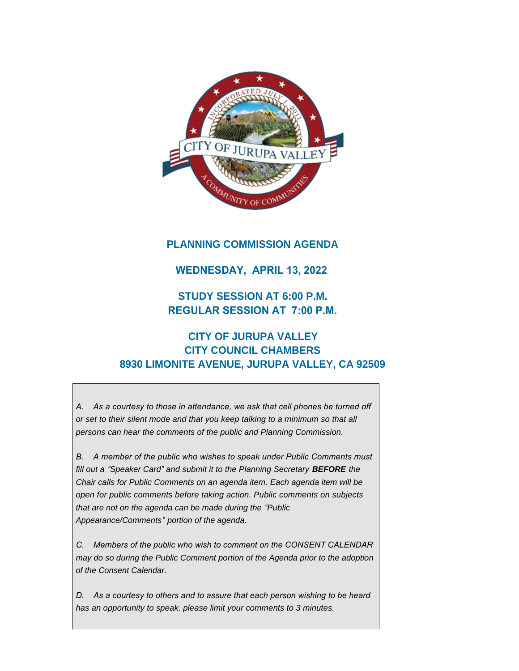

## **PLANNING COMMISSION AGENDA**

### **WEDNESDAY, APRIL 13, 2022**

# **STUDY SESSION AT 6:00 P.M. REGULAR SESSION AT 7:00 P.M.**

# **CITY OF JURUPA VALLEY CITY COUNCIL CHAMBERS 8930 LIMONITE AVENUE, JURUPA VALLEY, CA 92509**

*A. As a courtesy to those in attendance, we ask that cell phones be turned off or set to their silent mode and that you keep talking to a minimum so that all persons can hear the comments of the public and Planning Commission.*

*B. A member of the public who wishes to speak under Public Comments must fill out a "Speaker Card" and submit it to the Planning Secretary BEFORE the Chair calls for Public Comments on an agenda item. Each agenda item will be open for public comments before taking action. Public comments on subjects that are not on the agenda can be made during the "Public Appearance/Comments" portion of the agenda.*

*C. Members of the public who wish to comment on the CONSENT CALENDAR may do so during the Public Comment portion of the Agenda prior to the adoption of the Consent Calendar.*

*D. As a courtesy to others and to assure that each person wishing to be heard has an opportunity to speak, please limit your comments to 3 minutes.*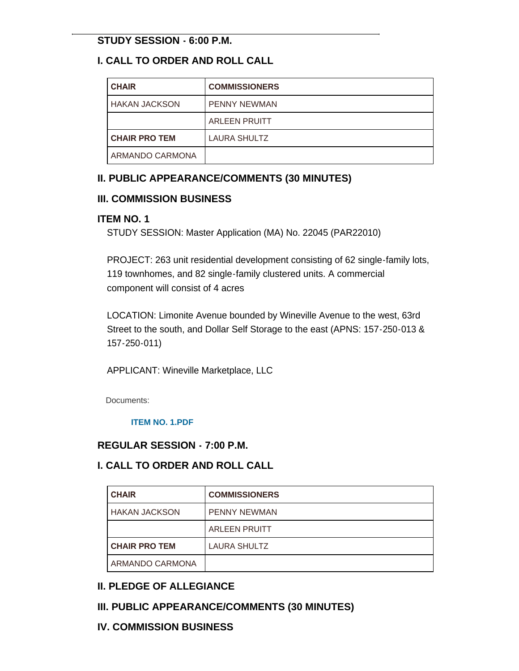### **STUDY SESSION - 6:00 P.M.**

## **I. CALL TO ORDER AND ROLL CALL**

| <b>CHAIR</b>         | <b>COMMISSIONERS</b> |
|----------------------|----------------------|
| HAKAN JACKSON        | <b>PENNY NEWMAN</b>  |
|                      | <b>ARLEEN PRUITT</b> |
| <b>CHAIR PRO TEM</b> | <b>LAURA SHULTZ</b>  |
| ARMANDO CARMONA      |                      |

## **II. PUBLIC APPEARANCE/COMMENTS (30 MINUTES)**

### **III. COMMISSION BUSINESS**

#### **ITEM NO. 1**

STUDY SESSION: Master Application (MA) No. 22045 (PAR22010)

PROJECT: 263 unit residential development consisting of 62 single-family lots, 119 townhomes, and 82 single-family clustered units. A commercial component will consist of 4 acres

LOCATION: Limonite Avenue bounded by Wineville Avenue to the west, 63rd Street to the south, and Dollar Self Storage to the east (APNS: 157-250-013 & 157-250-011)

APPLICANT: Wineville Marketplace, LLC

Documents:

#### **[ITEM NO. 1.PDF](https://www.jurupavalley.org/AgendaCenter/ViewFile/Item/511?fileID=639)**

### **REGULAR SESSION - 7:00 P.M.**

## **I. CALL TO ORDER AND ROLL CALL**

| <b>CHAIR</b>         | <b>COMMISSIONERS</b> |
|----------------------|----------------------|
| <b>HAKAN JACKSON</b> | <b>PENNY NEWMAN</b>  |
|                      | <b>ARLEEN PRUITT</b> |
| <b>CHAIR PRO TEM</b> | LAURA SHULTZ         |
| ARMANDO CARMONA      |                      |

## **II. PLEDGE OF ALLEGIANCE**

## **III. PUBLIC APPEARANCE/COMMENTS (30 MINUTES)**

## **IV. COMMISSION BUSINESS**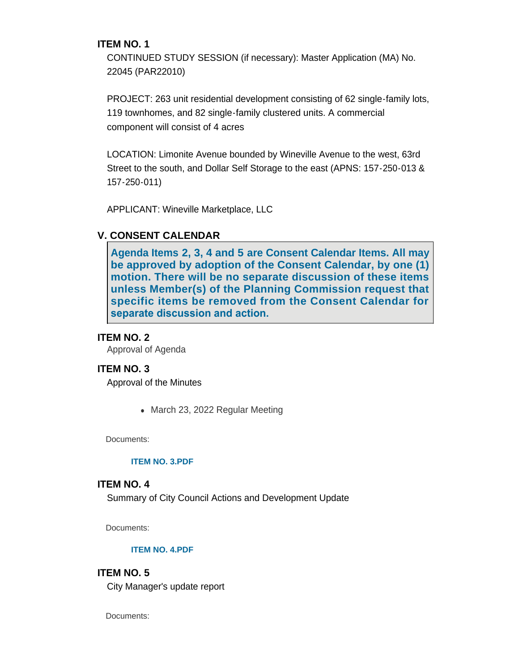#### **ITEM NO. 1**

CONTINUED STUDY SESSION (if necessary): Master Application (MA) No. 22045 (PAR22010)

PROJECT: 263 unit residential development consisting of 62 single-family lots, 119 townhomes, and 82 single-family clustered units. A commercial component will consist of 4 acres

LOCATION: Limonite Avenue bounded by Wineville Avenue to the west, 63rd Street to the south, and Dollar Self Storage to the east (APNS: 157-250-013 & 157-250-011)

APPLICANT: Wineville Marketplace, LLC

## **V. CONSENT CALENDAR**

**Agenda Items 2, 3, 4 and 5 are Consent Calendar Items. All may be approved by adoption of the Consent Calendar, by one (1) motion. There will be no separate discussion of these items unless Member(s) of the Planning Commission request that specific items be removed from the Consent Calendar for separate discussion and action.** 

#### **ITEM NO. 2**

Approval of Agenda

#### **ITEM NO. 3**

Approval of the Minutes

• March 23, 2022 Regular Meeting

Documents:

#### **[ITEM NO. 3.PDF](https://www.jurupavalley.org/AgendaCenter/ViewFile/Item/520?fileID=640)**

#### **ITEM NO. 4**

Summary of City Council Actions and Development Update

Documents:

#### **[ITEM NO. 4.PDF](https://www.jurupavalley.org/AgendaCenter/ViewFile/Item/521?fileID=641)**

#### **ITEM NO. 5**

City Manager's update report

Documents: